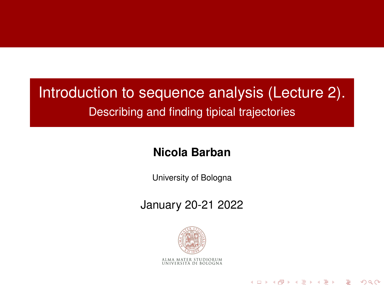#### Introduction to sequence analysis (Lecture 2). Describing and finding tipical trajectories

#### **Nicola Barban**

University of Bologna

January 20-21 2022



KORK ERKER ER AGA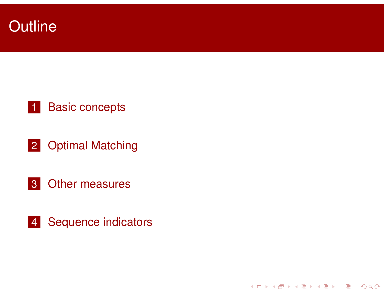

#### 1 Basic concepts

2 Optimal Matching

- 3 Other measures
- 4 Sequence indicators

**Kロト K団 K K ミト K ミト ニミー の Q (^**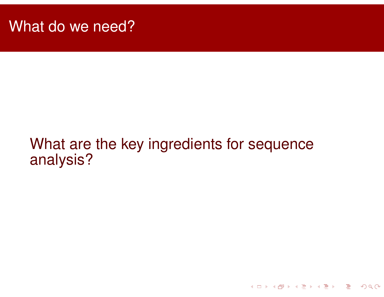### What are the key ingredients for sequence analysis?

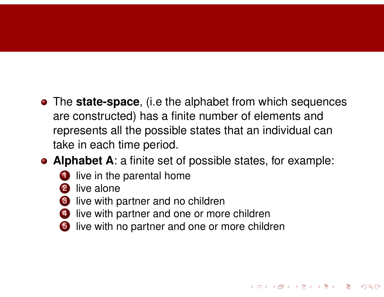- The **state-space**, (i.e the alphabet from which sequences are constructed) has a finite number of elements and represents all the possible states that an individual can take in each time period.
- **Alphabet A**: a finite set of possible states, for example:

**Kロト K団 K K ミト K ミト ニョー めんぴ** 

- **1** live in the parental home
- 2 live alone
- live with partner and no children
- live with partner and one or more children
- live with no partner and one or more children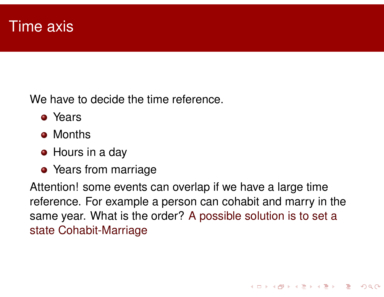We have to decide the time reference.

- **•** Years
- **Months**
- **•** Hours in a day
- **•** Years from marriage

Attention! some events can overlap if we have a large time reference. For example a person can cohabit and marry in the same year. What is the order? A possible solution is to set a state Cohabit-Marriage

**Kロト K団 K K ミト K ミト ニョー のQ (V**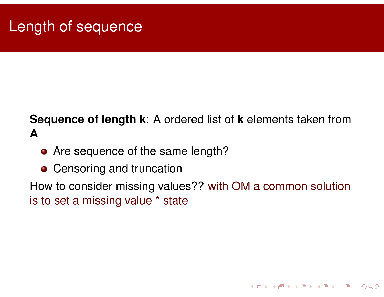#### **Sequence of length k**: A ordered list of **k** elements taken from **A**

- Are sequence of the same length?
- **Censoring and truncation**

How to consider missing values?? with OM a common solution is to set a missing value \* state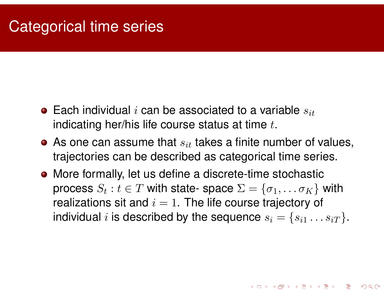### Categorical time series

- $\bullet$  Each individual i can be associated to a variable  $s_{it}$ indicating her/his life course status at time  $t$ .
- $\bullet$  As one can assume that  $s_{it}$  takes a finite number of values, trajectories can be described as categorical time series.
- More formally, let us define a discrete-time stochastic process  $S_t : t \in T$  with state- space  $\Sigma = \{\sigma_1, \ldots \sigma_K\}$  with realizations sit and  $i = 1$ . The life course trajectory of individual *i* is described by the sequence  $s_i = \{s_{i1} \dots s_{iT}\}.$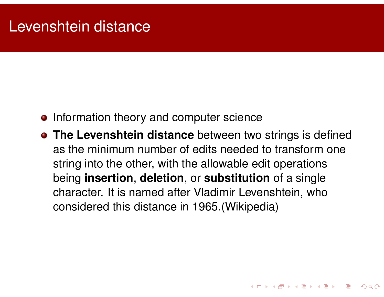### Levenshtein distance

- Information theory and computer science
- **The Levenshtein distance** between two strings is defined as the minimum number of edits needed to transform one string into the other, with the allowable edit operations being **insertion**, **deletion**, or **substitution** of a single character. It is named after Vladimir Levenshtein, who considered this distance in 1965.(Wikipedia)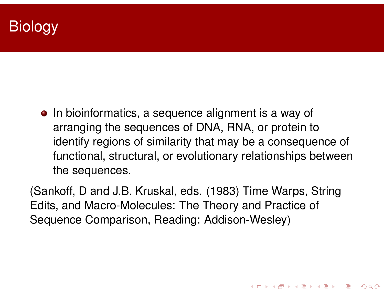# **Biology**

• In bioinformatics, a sequence alignment is a way of arranging the sequences of DNA, RNA, or protein to identify regions of similarity that may be a consequence of functional, structural, or evolutionary relationships between the sequences.

(Sankoff, D and J.B. Kruskal, eds. (1983) Time Warps, String Edits, and Macro-Molecules: The Theory and Practice of Sequence Comparison, Reading: Addison-Wesley)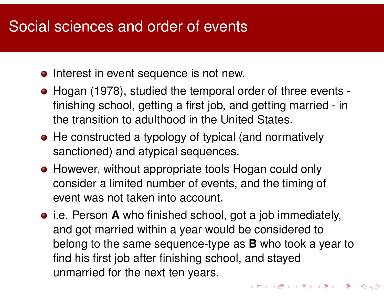# Social sciences and order of events

- Interest in event sequence is not new.
- Hogan (1978), studied the temporal order of three events finishing school, getting a first job, and getting married - in the transition to adulthood in the United States.
- He constructed a typology of typical (and normatively sanctioned) and atypical sequences.
- However, without appropriate tools Hogan could only consider a limited number of events, and the timing of event was not taken into account.
- i.e. Person **A** who finished school, got a job immediately, and got married within a year would be considered to belong to the same sequence-type as **B** who took a year to find his first job after finishing school, and stayed unmarried for the next ten years.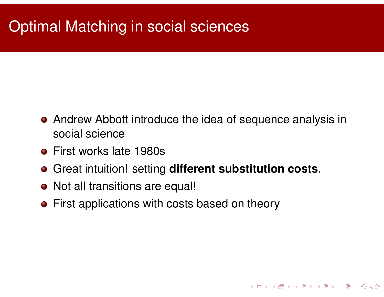# Optimal Matching in social sciences

Andrew Abbott introduce the idea of sequence analysis in social science

**Kロト K団 K K ミト K ミト ニョー YO Q C\*** 

- **o** First works late 1980s
- Great intuition! setting **different substitution costs**.
- Not all transitions are equal!
- **•** First applications with costs based on theory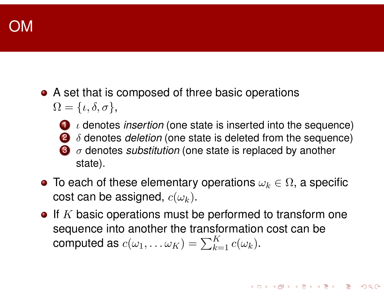• A set that is composed of three basic operations  $\Omega = \{ \iota, \delta, \sigma \},$ 



 ι denotes *insertion* (one state is inserted into the sequence) δ denotes *deletion* (one state is deleted from the sequence) σ denotes *substitution* (one state is replaced by another state).

- To each of these elementary operations  $\omega_k\in\Omega$ , a specific cost can be assigned,  $c(\omega_k)$ .
- $\bullet$  If K basic operations must be performed to transform one sequence into another the transformation cost can be computed as  $c(\omega_1,\dots \omega_K)=\sum_{k=1}^K c(\omega_k)$ .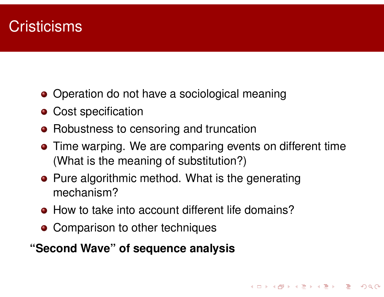# **Cristicisms**

- Operation do not have a sociological meaning
- **Cost specification**
- Robustness to censoring and truncation
- **•** Time warping. We are comparing events on different time (What is the meaning of substitution?)
- Pure algorithmic method. What is the generating mechanism?
- **How to take into account different life domains?**
- Comparison to other techniques

#### **"Second Wave" of sequence analysis**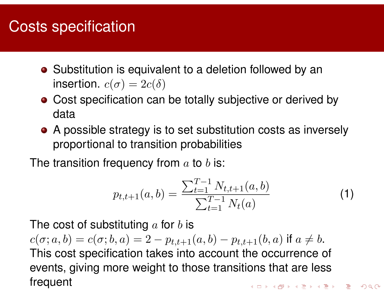# Costs specification

- Substitution is equivalent to a deletion followed by an insertion.  $c(\sigma) = 2c(\delta)$
- Cost specification can be totally subjective or derived by data
- A possible strategy is to set substitution costs as inversely proportional to transition probabilities

The transition frequency from  $a$  to  $b$  is:

$$
p_{t,t+1}(a,b) = \frac{\sum_{t=1}^{T-1} N_{t,t+1}(a,b)}{\sum_{t=1}^{T-1} N_t(a)}
$$
(1)

The cost of substituting  $a$  for  $b$  is

 $c(\sigma; a, b) = c(\sigma; b, a) = 2 - p_{t,t+1}(a, b) - p_{t,t+1}(b, a)$  if  $a \neq b$ . This cost specification takes into account the occurrence of events, giving more weight to those transitions that are less frequentK □ ▶ K @ ▶ K ミ ▶ K ミ ▶ │ ミ │ ◆ 9 Q (\*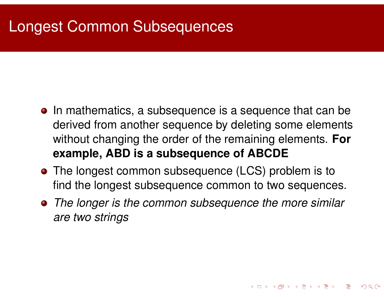# Longest Common Subsequences

- In mathematics, a subsequence is a sequence that can be derived from another sequence by deleting some elements without changing the order of the remaining elements. **For example, ABD is a subsequence of ABCDE**
- The longest common subsequence (LCS) problem is to find the longest subsequence common to two sequences.
- *The longer is the common subsequence the more similar are two strings*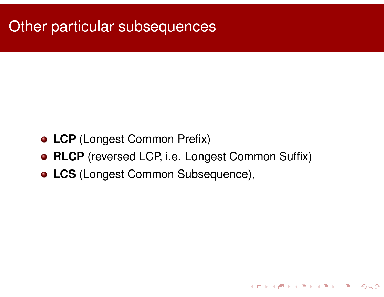# **Other particular subsequences**

- **LCP** (Longest Common Prefix)
- **RLCP** (reversed LCP, i.e. Longest Common Suffix)
- **LCS** (Longest Common Subsequence),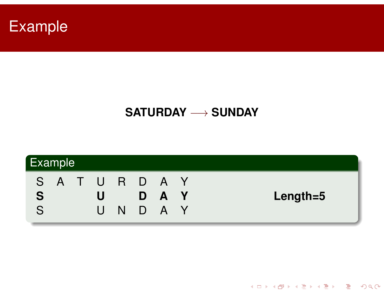

### **SATURDAY** −→ **SUNDAY**



**Kロト K団 K K ミト K ミト ニミー つくび**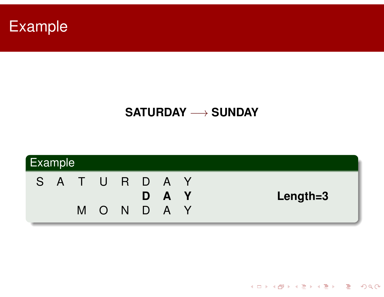

#### **SATURDAY** −→ **SUNDAY**



**K ロ ▶ K 御 ▶ K 君 ▶ K 君 ▶ │ 君 │ め Q (V)**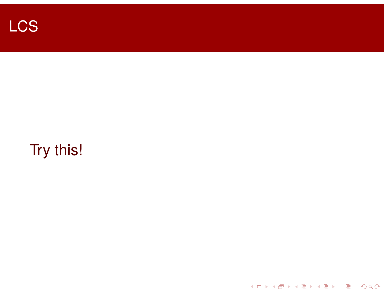

# Try this!

**Kロト K団 K K ミト K ミト ニミー の Q (V)**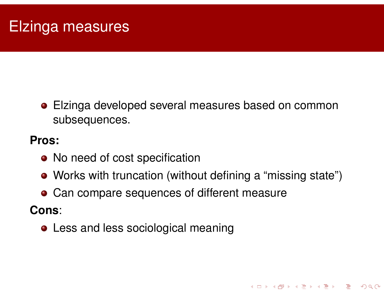# Elzinga measures

Elzinga developed several measures based on common subsequences.

#### **Pros:**

- No need of cost specification
- Works with truncation (without defining a "missing state")

**Kロト K団 K K ミト K ミト ニョー のQ (V** 

**• Can compare sequences of different measure** 

**Cons**:

**• Less and less sociological meaning**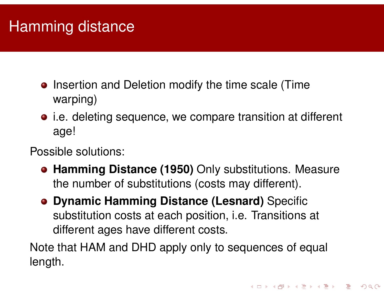# Hamming distance

- Insertion and Deletion modify the time scale (Time warping)
- i.e. deleting sequence, we compare transition at different age!

Possible solutions:

- **Hamming Distance (1950)** Only substitutions. Measure the number of substitutions (costs may different).
- **Dynamic Hamming Distance (Lesnard)** Specific substitution costs at each position, i.e. Transitions at different ages have different costs.

Note that HAM and DHD apply only to sequences of equal length.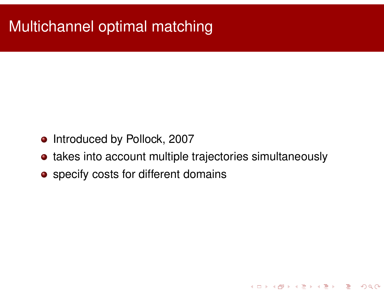# Multichannel optimal matching

- o Introduced by Pollock, 2007
- takes into account multiple trajectories simultaneously
- **•** specify costs for different domains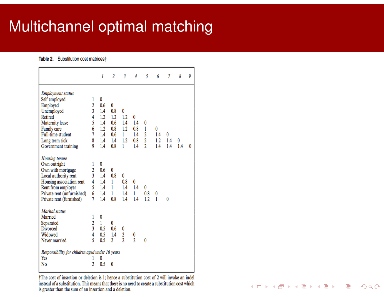# Multichannel optimal matching

#### Table 2. Substitution cost matrices†

|                                                                                                                                                                                                |                                 | 1                                           | $\overline{2}$                 | 3                             | 4                        | 5                | 6                      | 7               | 8        | 9 |
|------------------------------------------------------------------------------------------------------------------------------------------------------------------------------------------------|---------------------------------|---------------------------------------------|--------------------------------|-------------------------------|--------------------------|------------------|------------------------|-----------------|----------|---|
| <b>Employment status</b><br>Self employed<br>Employed<br>Unemployed<br>Retired<br>Maternity leave                                                                                              | 1<br>2<br>3<br>4<br>5           | 0<br>0.6<br>1.4<br>1.2<br>1.4               | 0<br>0.8<br>1.2<br>0.6         | 0<br>1.2<br>1.4               | 0<br>1.4                 | 0                |                        |                 |          |   |
| Family care<br>Full-time student<br>Long term sick<br>Government training                                                                                                                      | 6<br>7<br>8<br>9                | 1.2<br>1.4<br>1.4<br>1.4                    | 0.8<br>0.6<br>1.4<br>0.8       | 1.2<br>1<br>1.2<br>1          | 0.8<br>1.4<br>0.8<br>1.4 | 1<br>2<br>2<br>2 | 0<br>1.4<br>1.2<br>1.4 | 0<br>1.4<br>1.4 | 0<br>1.4 | 0 |
| <b>Housing</b> tenure<br>Own outright<br>Own with mortgage<br>Local authority rent<br>Housing association rent<br>Rent from employer<br>Private rent (unfurnished)<br>Private rent (furnished) | 1<br>2<br>3<br>4<br>5<br>6<br>7 | 0<br>0.6<br>1.4<br>1.4<br>1.4<br>1.4<br>1.4 | 0<br>0.8<br>1<br>1<br>1<br>0.8 | 0<br>0.8<br>1.4<br>1.4<br>1.4 | 0<br>1.4<br>1<br>1.4     | 0<br>0.8<br>1.2  | 0<br>1                 | 0               |          |   |
| <b>Marital</b> status<br>Married<br>Separated<br>Divorced<br>Widowed<br>Never married<br>Responsibility for children aged under 16 years                                                       | 1<br>2<br>3<br>4<br>5           | 0<br>$\mathbf{1}$<br>0.5<br>0.5<br>0.5      | 0<br>0.6<br>1.4<br>2           | 0<br>$\frac{2}{2}$            | 0<br>$\overline{2}$      | 0                |                        |                 |          |   |
| Yes<br>No                                                                                                                                                                                      | 2                               | 0<br>0.5                                    | 0                              |                               |                          |                  |                        |                 |          |   |

†The cost of insertion or deletion is 1; hence a substitution cost of 2 will invoke an indel instead of a substitution. This means that there is no need to create a substitution cost which is greater than the sum of an insertion and a deletion.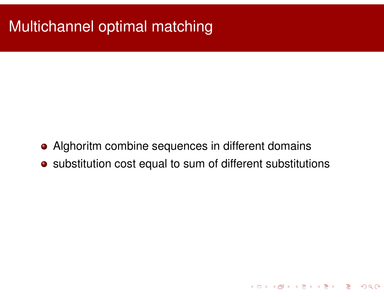# Multichannel optimal matching

- Alghoritm combine sequences in different domains
- substitution cost equal to sum of different substitutions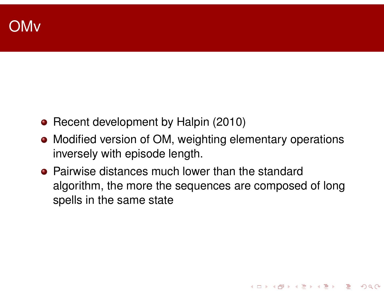- Recent development by Halpin (2010)
- Modified version of OM, weighting elementary operations inversely with episode length.
- **Pairwise distances much lower than the standard** algorithm, the more the sequences are composed of long spells in the same state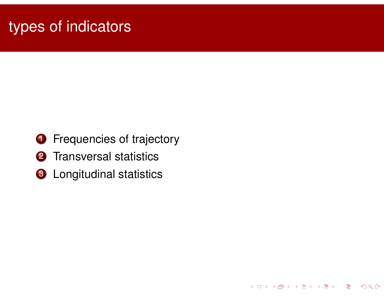# types of indicators

**1** Frequencies of trajectory

**Kロト K団 K K ミト K ミト ニミー つくび** 

- 2 Transversal statistics
- **3** Longitudinal statistics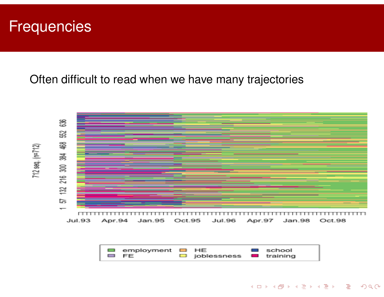### **Frequencies**

Often difficult to read when we have many trajectories





**Kロト K団 K K ミト K ミト ニヨー りくぐ**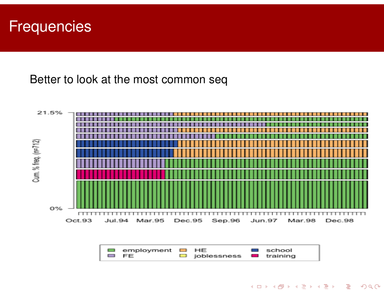### **Frequencies**

Better to look at the most common seq



| □ employment □ HE                   |                          | <b>E</b> school |
|-------------------------------------|--------------------------|-----------------|
| <b>EURE ELECTRONIC EN LA PROPER</b> | □ joblessness ■ training |                 |

◀ ㅁ ▶ ◀ @ ▶ ◀ 로 ▶ ◀ 로 ▶ │ 로  $\Omega$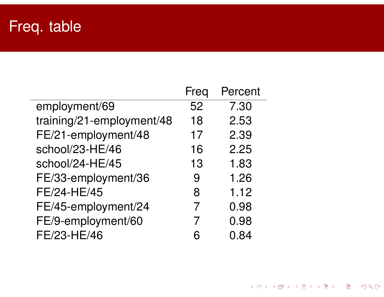# Freq. table

|                           | Freq | Percent |
|---------------------------|------|---------|
| employment/69             | 52   | 7.30    |
| training/21-employment/48 | 18   | 2.53    |
| FE/21-employment/48       | 17   | 2.39    |
| school/23-HE/46           | 16   | 2.25    |
| school/24-HE/45           | 13   | 1.83    |
| FE/33-employment/36       | 9    | 1.26    |
| FE/24-HE/45               | 8    | 1.12    |
| FE/45-employment/24       |      | 0.98    |
| FE/9-employment/60        | 7    | 0.98    |
| FE/23-HE/46               |      | 0.84    |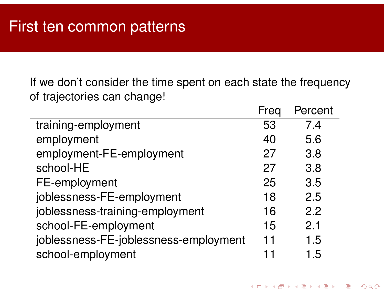If we don't consider the time spent on each state the frequency of trajectories can change!

|                                       | Freq | Percent |
|---------------------------------------|------|---------|
| training-employment                   | 53   | 74      |
| employment                            | 40   | 5.6     |
| employment-FE-employment              | 27   | 3.8     |
| school-HE                             | 27   | 3.8     |
| FE-employment                         | 25   | 3.5     |
| joblessness-FE-employment             | 18   | 2.5     |
| joblessness-training-employment       | 16   | 2.2     |
| school-FE-employment                  | 15   | 2.1     |
| joblessness-FE-joblessness-employment | 11   | 1.5     |
| school-employment                     |      | 1.5     |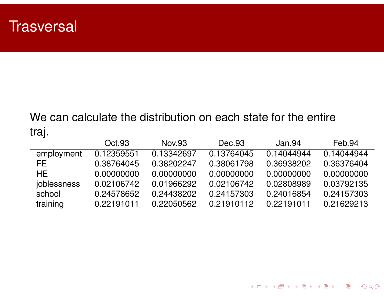### **Trasversal**

### We can calculate the distribution on each state for the entire traj.

|             | Oct.93     | Nov.93     | Dec.93     | Jan.94     | Feb.94     |
|-------------|------------|------------|------------|------------|------------|
| employment  | 0.12359551 | 0.13342697 | 0.13764045 | 0.14044944 | 0.14044944 |
| FE.         | 0.38764045 | 0.38202247 | 0.38061798 | 0.36938202 | 0.36376404 |
| HE.         | 0.00000000 | 0.00000000 | 0.00000000 | 0.00000000 | 0.00000000 |
| joblessness | 0.02106742 | 0.01966292 | 0.02106742 | 0.02808989 | 0.03792135 |
| school      | 0.24578652 | 0.24438202 | 0.24157303 | 0.24016854 | 0.24157303 |
| training    | 0.22191011 | 0.22050562 | 0.21910112 | 0.22191011 | 0.21629213 |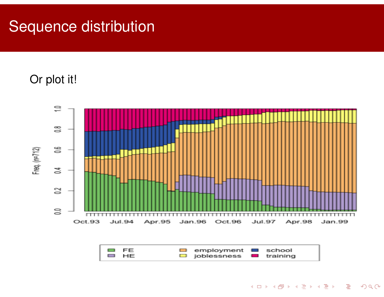# Sequence distribution

### Or plot it!

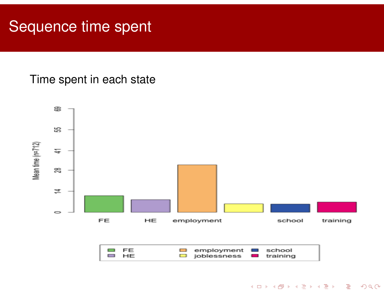## Sequence time spent

Time spent in each state

![](_page_32_Figure_2.jpeg)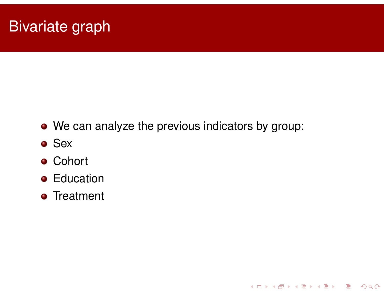# Bivariate graph

• We can analyze the previous indicators by group:

**イロトイ団 トイミトイミト ミニ のべぐ** 

- **o** Sex
- **Cohort**
- **•** Education
- **•** Treatment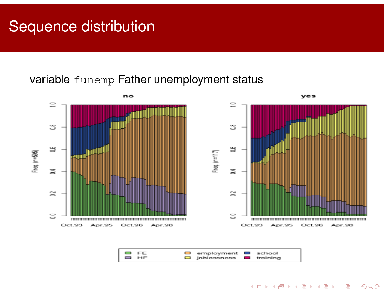# Sequence distribution

#### variable funemp Father unemployment status

![](_page_34_Figure_2.jpeg)

![](_page_34_Figure_3.jpeg)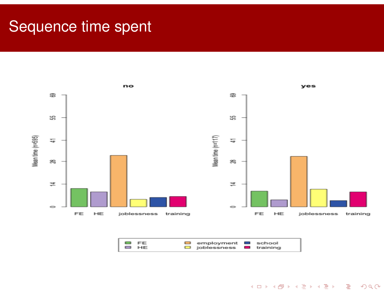### Sequence time spent

![](_page_35_Figure_1.jpeg)

![](_page_35_Figure_2.jpeg)

メロトメ団 トメミトメミト 三重  $DQ$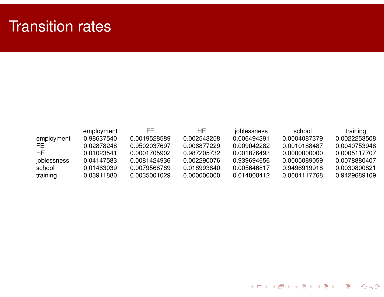## Transition rates

|             | employment | FF.          | HE.         | joblessness | school       | training     |
|-------------|------------|--------------|-------------|-------------|--------------|--------------|
| employment  | 0.98637540 | 0.0019528589 | 0.002543258 | 0.006494391 | 0.0004087379 | 0.0022253508 |
| FE.         | 0.02878248 | 0.9502037697 | 0.006877229 | 0.009042282 | 0.0010188487 | 0.0040753948 |
| HE.         | 0.01023541 | 0.0001705902 | 0.987205732 | 0.001876493 | 0.0000000000 | 0.0005117707 |
| joblessness | 0.04147583 | 0.0081424936 | 0.002290076 | 0.939694656 | 0.0005089059 | 0.0078880407 |
| school      | 0.01463039 | 0.0079568789 | 0.018993840 | 0.005646817 | 0.9496919918 | 0.0030800821 |
| training    | 0.03911880 | 0.0035001029 | 0.000000000 | 0.014000412 | 0.0004117768 | 0.9429689109 |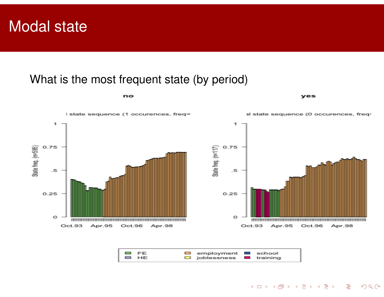### Modal state

#### What is the most frequent state (by period)

no

![](_page_37_Figure_2.jpeg)

**ves** 

イロトイ団 トイヨトイヨト 三重

 $OQ$ 

![](_page_37_Figure_3.jpeg)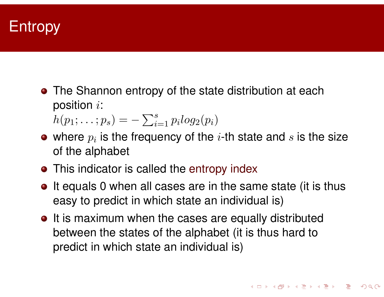### **Entropy**

• The Shannon entropy of the state distribution at each position i:

 $h(p_1; \ldots; p_s) = -\sum_{i=1}^s p_i log_2(p_i)$ 

- where  $p_i$  is the frequency of the  $i\text{-}\mathsf{th}$  state and  $s$  is the size of the alphabet
- This indicator is called the entropy index
- It equals 0 when all cases are in the same state (it is thus easy to predict in which state an individual is)
- It is maximum when the cases are equally distributed between the states of the alphabet (it is thus hard to predict in which state an individual is)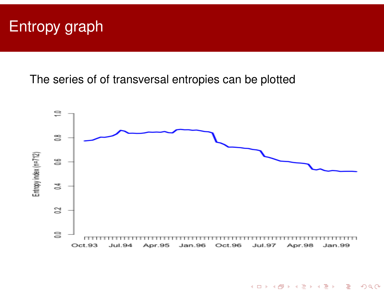# Entropy graph

The series of of transversal entropies can be plotted

![](_page_39_Figure_2.jpeg)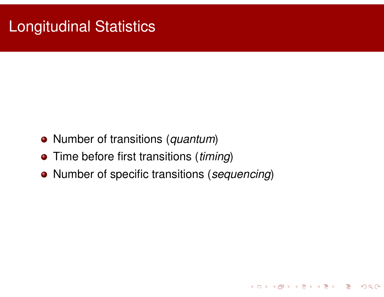# Longitudinal Statistics

- Number of transitions (*quantum*)
- Time before first transitions (*timing*)
- Number of specific transitions (*sequencing*)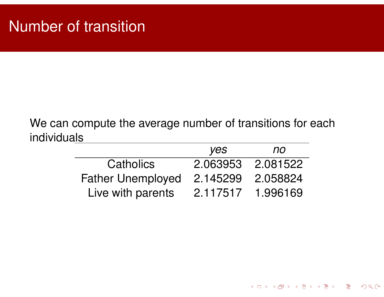#### We can compute the average number of transitions for each individuals

|                          | yes      | <b>no</b> |
|--------------------------|----------|-----------|
| <b>Catholics</b>         | 2.063953 | 2.081522  |
| <b>Father Unemployed</b> | 2.145299 | 2.058824  |
| Live with parents        | 2.117517 | 1.996169  |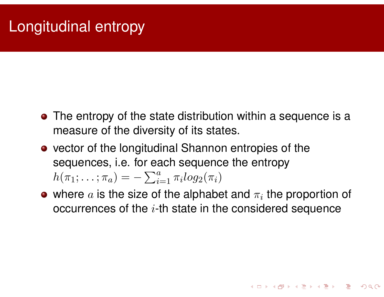# Longitudinal entropy

- The entropy of the state distribution within a sequence is a measure of the diversity of its states.
- vector of the longitudinal Shannon entropies of the sequences, i.e. for each sequence the entropy  $h(\pi_1; \ldots; \pi_a) = -\sum_{i=1}^a \pi_i log_2(\pi_i)$
- where  $a$  is the size of the alphabet and  $\pi_i$  the proportion of occurrences of the  $i$ -th state in the considered sequence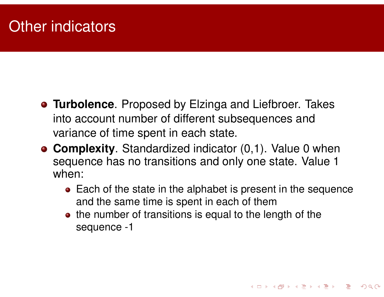# Other indicators

- **Turbolence**. Proposed by Elzinga and Liefbroer. Takes into account number of different subsequences and variance of time spent in each state.
- **Complexity**. Standardized indicator (0,1). Value 0 when sequence has no transitions and only one state. Value 1 when:
	- Each of the state in the alphabet is present in the sequence and the same time is spent in each of them

**Kロト K団 K K ミト K ミト ニョー YO Q C\*** 

• the number of transitions is equal to the length of the sequence -1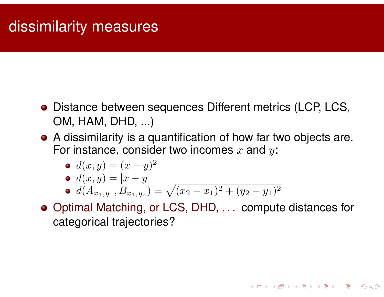# dissimilarity measures

- **•** Distance between sequences Different metrics (LCP, LCS, OM, HAM, DHD, ...)
- A dissimilarity is a quantification of how far two objects are. For instance, consider two incomes  $x$  and  $y$ :

$$
\bullet \, d(x,y) = (x-y)^2
$$

$$
\bullet \ d(x,y) = |x-y|
$$

$$
\bullet \ d(A_{x_1,y_1},B_{x_1,y_2}) = \sqrt{(x_2-x_1)^2 + (y_2-y_1)^2}
$$

Optimal Matching, or LCS, DHD, . . . compute distances for categorical trajectories?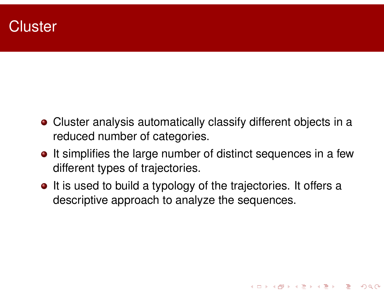### **Cluster**

- Cluster analysis automatically classify different objects in a reduced number of categories.
- It simplifies the large number of distinct sequences in a few different types of trajectories.
- It is used to build a typology of the trajectories. It offers a descriptive approach to analyze the sequences.

**Kロト K団 K K ミト K ミト / ミー YO Q C\***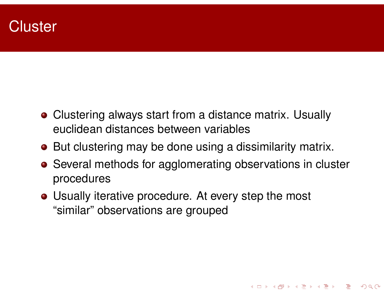### **Cluster**

- **Clustering always start from a distance matrix. Usually** euclidean distances between variables
- But clustering may be done using a dissimilarity matrix.
- Several methods for agglomerating observations in cluster procedures

**Kロト K団 K K ミト K ミト ニョー YO Q C\*** 

• Usually iterative procedure. At every step the most "similar" observations are grouped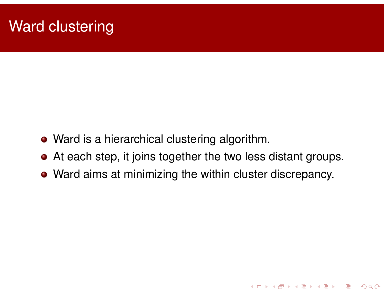# Ward clustering

- Ward is a hierarchical clustering algorithm.
- At each step, it joins together the two less distant groups.
- Ward aims at minimizing the within cluster discrepancy.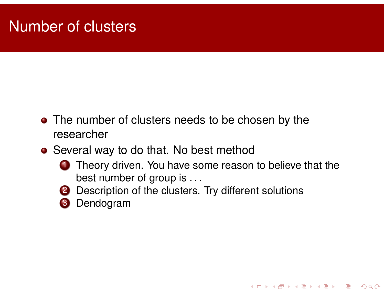# Number of clusters

- The number of clusters needs to be chosen by the researcher
- Several way to do that. No best method
	- **1** Theory driven. You have some reason to believe that the best number of group is . . .

**Kロト K団 K K ミト K ミト / ミー YO Q C\*** 

- 2 Description of the clusters. Try different solutions
- 3 Dendogram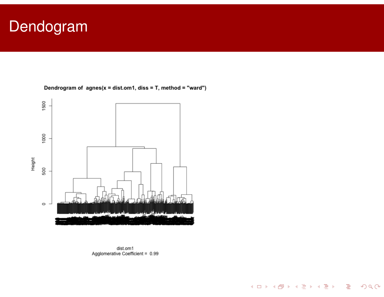# **Dendogram**

![](_page_49_Figure_1.jpeg)

![](_page_49_Figure_2.jpeg)

![](_page_49_Figure_3.jpeg)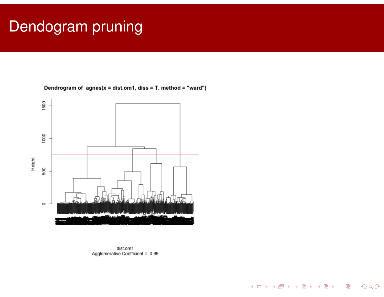# Dendogram pruning

![](_page_50_Figure_1.jpeg)

Dendrogram of  $agnes(x = dist.om1, diss = T, method = "ward")$ 

![](_page_50_Figure_3.jpeg)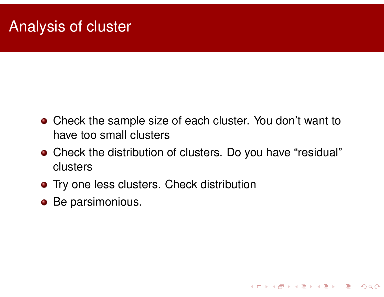# Analysis of cluster

- Check the sample size of each cluster. You don't want to have too small clusters
- Check the distribution of clusters. Do you have "residual" clusters

**Kロト K団 K K ミト K ミト / ミー YO Q C\*** 

- **•** Try one less clusters. Check distribution
- **•** Be parsimonious.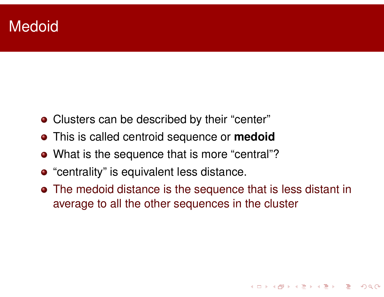## **Medoid**

- Clusters can be described by their "center"
- This is called centroid sequence or **medoid**
- What is the sequence that is more "central"?
- "centrality" is equivalent less distance.
- The medoid distance is the sequence that is less distant in average to all the other sequences in the cluster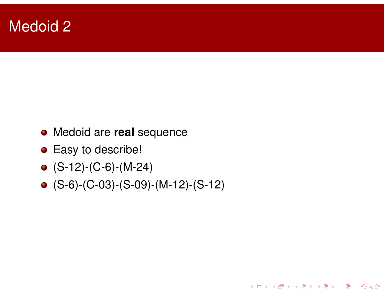### Medoid 2

- Medoid are **real** sequence
- **•** Easy to describe!
- $\bullet$  (S-12)-(C-6)-(M-24)
- (S-6)-(C-03)-(S-09)-(M-12)-(S-12)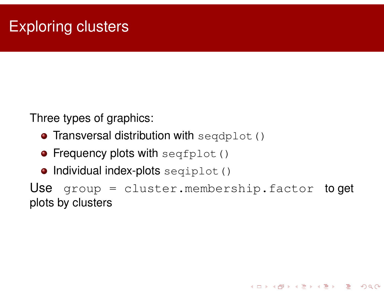Three types of graphics:

- **Transversal distribution with**  $seqdplot()$
- **Frequency plots with seqfplot ()**
- $\bullet$  Individual index-plots seqiplot()

Use group = cluster.membership.factor to get plots by clusters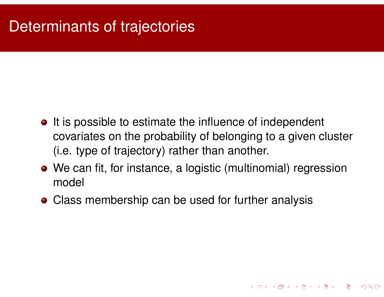# Determinants of trajectories

- It is possible to estimate the influence of independent covariates on the probability of belonging to a given cluster (i.e. type of trajectory) rather than another.
- We can fit, for instance, a logistic (multinomial) regression model

**Kロト K団 K K ミト K ミト / ミー YO Q C\*** 

• Class membership can be used for further analysis